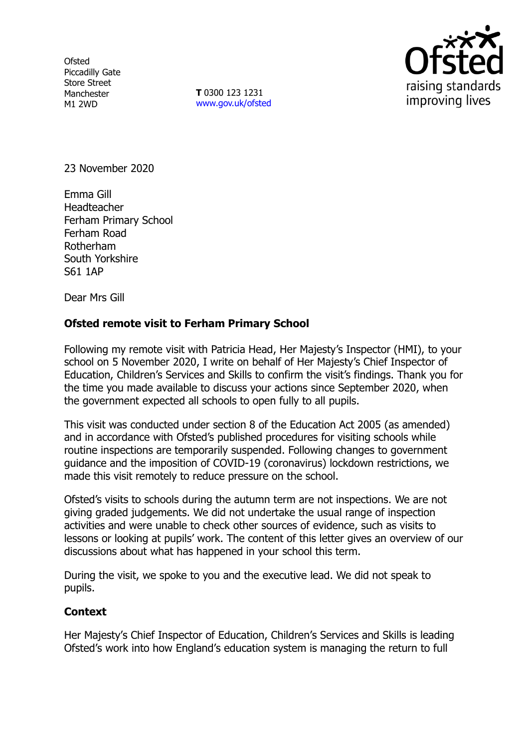**Ofsted** Piccadilly Gate Store Street Manchester M1 2WD

**T** 0300 123 1231 [www.gov.uk/ofsted](http://www.gov.uk/ofsted)



23 November 2020

Emma Gill Headteacher Ferham Primary School Ferham Road Rotherham South Yorkshire S61 1AP

Dear Mrs Gill

## **Ofsted remote visit to Ferham Primary School**

Following my remote visit with Patricia Head, Her Majesty's Inspector (HMI), to your school on 5 November 2020, I write on behalf of Her Majesty's Chief Inspector of Education, Children's Services and Skills to confirm the visit's findings. Thank you for the time you made available to discuss your actions since September 2020, when the government expected all schools to open fully to all pupils.

This visit was conducted under section 8 of the Education Act 2005 (as amended) and in accordance with Ofsted's published procedures for visiting schools while routine inspections are temporarily suspended. Following changes to government guidance and the imposition of COVID-19 (coronavirus) lockdown restrictions, we made this visit remotely to reduce pressure on the school.

Ofsted's visits to schools during the autumn term are not inspections. We are not giving graded judgements. We did not undertake the usual range of inspection activities and were unable to check other sources of evidence, such as visits to lessons or looking at pupils' work. The content of this letter gives an overview of our discussions about what has happened in your school this term.

During the visit, we spoke to you and the executive lead. We did not speak to pupils.

## **Context**

Her Majesty's Chief Inspector of Education, Children's Services and Skills is leading Ofsted's work into how England's education system is managing the return to full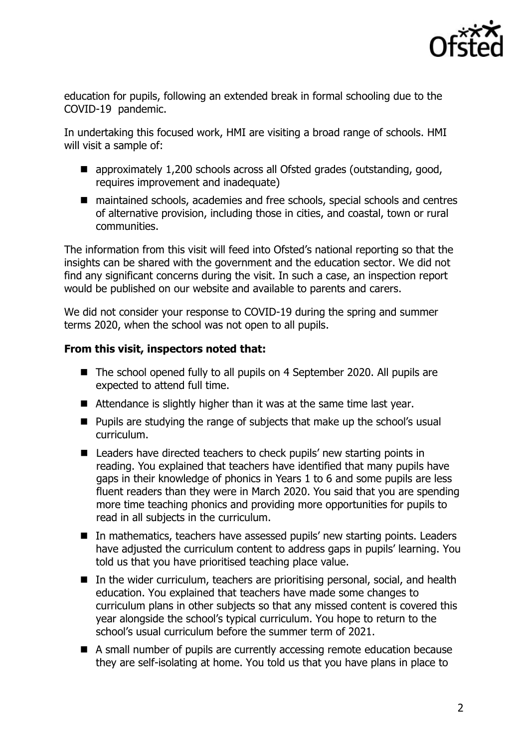

education for pupils, following an extended break in formal schooling due to the COVID-19 pandemic.

In undertaking this focused work, HMI are visiting a broad range of schools. HMI will visit a sample of:

- approximately 1,200 schools across all Ofsted grades (outstanding, good, requires improvement and inadequate)
- maintained schools, academies and free schools, special schools and centres of alternative provision, including those in cities, and coastal, town or rural communities.

The information from this visit will feed into Ofsted's national reporting so that the insights can be shared with the government and the education sector. We did not find any significant concerns during the visit. In such a case, an inspection report would be published on our website and available to parents and carers.

We did not consider your response to COVID-19 during the spring and summer terms 2020, when the school was not open to all pupils.

## **From this visit, inspectors noted that:**

- The school opened fully to all pupils on 4 September 2020. All pupils are expected to attend full time.
- Attendance is slightly higher than it was at the same time last year.
- Pupils are studying the range of subjects that make up the school's usual curriculum.
- Leaders have directed teachers to check pupils' new starting points in reading. You explained that teachers have identified that many pupils have gaps in their knowledge of phonics in Years 1 to 6 and some pupils are less fluent readers than they were in March 2020. You said that you are spending more time teaching phonics and providing more opportunities for pupils to read in all subjects in the curriculum.
- In mathematics, teachers have assessed pupils' new starting points. Leaders have adjusted the curriculum content to address gaps in pupils' learning. You told us that you have prioritised teaching place value.
- In the wider curriculum, teachers are prioritising personal, social, and health education. You explained that teachers have made some changes to curriculum plans in other subjects so that any missed content is covered this year alongside the school's typical curriculum. You hope to return to the school's usual curriculum before the summer term of 2021.
- A small number of pupils are currently accessing remote education because they are self-isolating at home. You told us that you have plans in place to